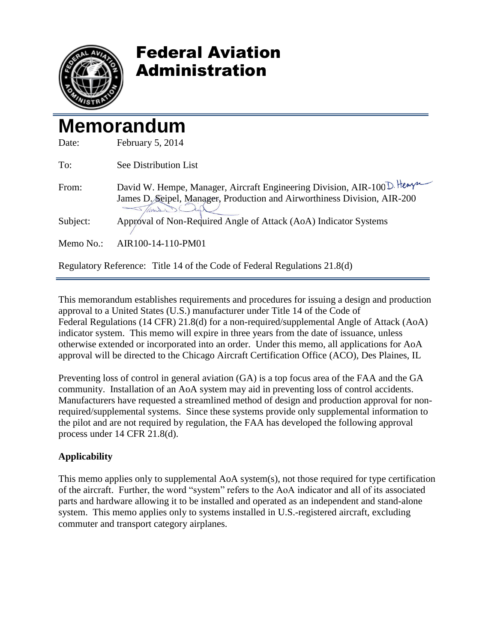

## Federal Aviation Administration

# **Memorandum**

| Date:     | February 5, 2014                                                                                                                                     |
|-----------|------------------------------------------------------------------------------------------------------------------------------------------------------|
| To:       | See Distribution List                                                                                                                                |
| From:     | David W. Hempe, Manager, Aircraft Engineering Division, AIR-100 D. Hempt<br>James D. Seipel, Manager, Production and Airworthiness Division, AIR-200 |
| Subject:  | Approval of Non-Required Angle of Attack (AoA) Indicator Systems                                                                                     |
| Memo No.: | AIR100-14-110-PM01                                                                                                                                   |
|           | Regulatory Reference: Title 14 of the Code of Federal Regulations 21.8(d)                                                                            |

This memorandum establishes requirements and procedures for issuing a design and production approval to a United States (U.S.) manufacturer under Title 14 of the Code of Federal Regulations (14 CFR) 21.8(d) for a non-required/supplemental Angle of Attack (AoA) indicator system. This memo will expire in three years from the date of issuance, unless otherwise extended or incorporated into an order. Under this memo, all applications for AoA approval will be directed to the Chicago Aircraft Certification Office (ACO), Des Plaines, IL

Preventing loss of control in general aviation (GA) is a top focus area of the FAA and the GA community. Installation of an AoA system may aid in preventing loss of control accidents. Manufacturers have requested a streamlined method of design and production approval for nonrequired/supplemental systems. Since these systems provide only supplemental information to the pilot and are not required by regulation, the FAA has developed the following approval process under 14 CFR 21.8(d).

### **Applicability**

This memo applies only to supplemental AoA system(s), not those required for type certification of the aircraft. Further, the word "system" refers to the AoA indicator and all of its associated parts and hardware allowing it to be installed and operated as an independent and stand-alone system. This memo applies only to systems installed in U.S.-registered aircraft, excluding commuter and transport category airplanes.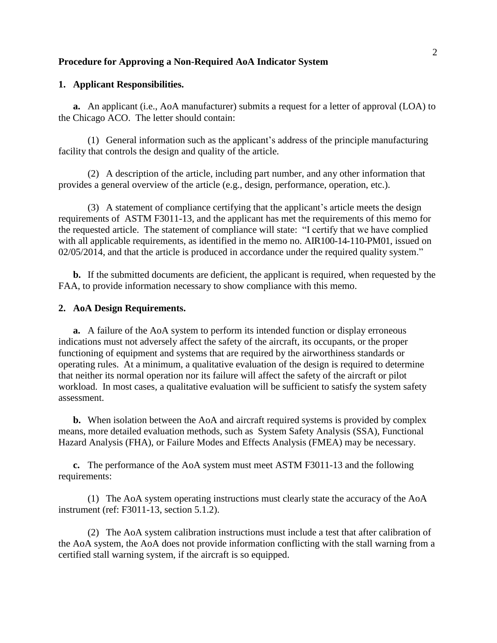#### **Procedure for Approving a Non-Required AoA Indicator System**

#### **1. Applicant Responsibilities.**

**a.** An applicant (i.e., AoA manufacturer) submits a request for a letter of approval (LOA) to the Chicago ACO. The letter should contain:

(1) General information such as the applicant's address of the principle manufacturing facility that controls the design and quality of the article.

(2) A description of the article, including part number, and any other information that provides a general overview of the article (e.g., design, performance, operation, etc.).

(3) A statement of compliance certifying that the applicant's article meets the design requirements of ASTM F3011-13, and the applicant has met the requirements of this memo for the requested article. The statement of compliance will state: "I certify that we have complied with all applicable requirements, as identified in the memo no. AIR100-14-110-PM01, issued on 02/05/2014, and that the article is produced in accordance under the required quality system."

**b.** If the submitted documents are deficient, the applicant is required, when requested by the FAA, to provide information necessary to show compliance with this memo.

#### **2. AoA Design Requirements.**

**a.** A failure of the AoA system to perform its intended function or display erroneous indications must not adversely affect the safety of the aircraft, its occupants, or the proper functioning of equipment and systems that are required by the airworthiness standards or operating rules. At a minimum, a qualitative evaluation of the design is required to determine that neither its normal operation nor its failure will affect the safety of the aircraft or pilot workload. In most cases, a qualitative evaluation will be sufficient to satisfy the system safety assessment.

**b.** When isolation between the AoA and aircraft required systems is provided by complex means, more detailed evaluation methods, such as System Safety Analysis (SSA), Functional Hazard Analysis (FHA), or Failure Modes and Effects Analysis (FMEA) may be necessary.

**c.** The performance of the AoA system must meet ASTM F3011-13 and the following requirements:

(1) The AoA system operating instructions must clearly state the accuracy of the AoA instrument (ref: F3011-13, section 5.1.2).

(2) The AoA system calibration instructions must include a test that after calibration of the AoA system, the AoA does not provide information conflicting with the stall warning from a certified stall warning system, if the aircraft is so equipped.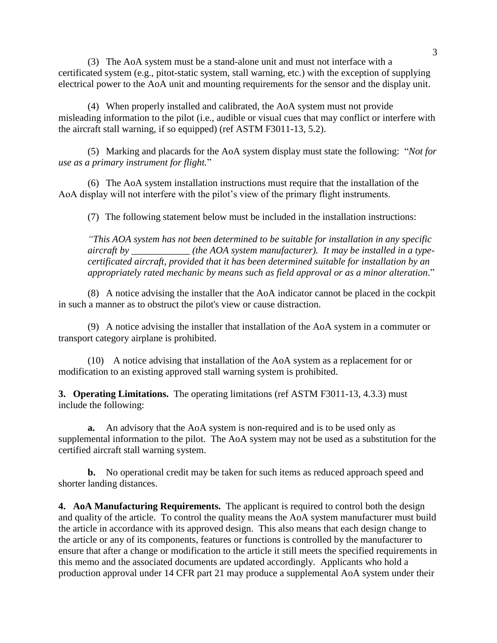(3) The AoA system must be a stand-alone unit and must not interface with a certificated system (e.g., pitot-static system, stall warning, etc.) with the exception of supplying electrical power to the AoA unit and mounting requirements for the sensor and the display unit.

(4) When properly installed and calibrated, the AoA system must not provide misleading information to the pilot (i.e., audible or visual cues that may conflict or interfere with the aircraft stall warning, if so equipped) (ref ASTM F3011-13, 5.2).

(5) Marking and placards for the AoA system display must state the following: "*Not for use as a primary instrument for flight.*"

(6) The AoA system installation instructions must require that the installation of the AoA display will not interfere with the pilot's view of the primary flight instruments.

(7) The following statement below must be included in the installation instructions:

*"This AOA system has not been determined to be suitable for installation in any specific aircraft by \_\_\_\_\_\_\_\_\_\_\_\_ (the AOA system manufacturer). It may be installed in a typecertificated aircraft, provided that it has been determined suitable for installation by an appropriately rated mechanic by means such as field approval or as a minor alteration*."

(8) A notice advising the installer that the AoA indicator cannot be placed in the cockpit in such a manner as to obstruct the pilot's view or cause distraction.

(9) A notice advising the installer that installation of the AoA system in a commuter or transport category airplane is prohibited.

(10) A notice advising that installation of the AoA system as a replacement for or modification to an existing approved stall warning system is prohibited.

**3. Operating Limitations.** The operating limitations (ref ASTM F3011-13, 4.3.3) must include the following:

**a.** An advisory that the AoA system is non-required and is to be used only as supplemental information to the pilot. The AoA system may not be used as a substitution for the certified aircraft stall warning system.

**b.** No operational credit may be taken for such items as reduced approach speed and shorter landing distances.

**4. AoA Manufacturing Requirements.** The applicant is required to control both the design and quality of the article. To control the quality means the AoA system manufacturer must build the article in accordance with its approved design. This also means that each design change to the article or any of its components, features or functions is controlled by the manufacturer to ensure that after a change or modification to the article it still meets the specified requirements in this memo and the associated documents are updated accordingly. Applicants who hold a production approval under 14 CFR part 21 may produce a supplemental AoA system under their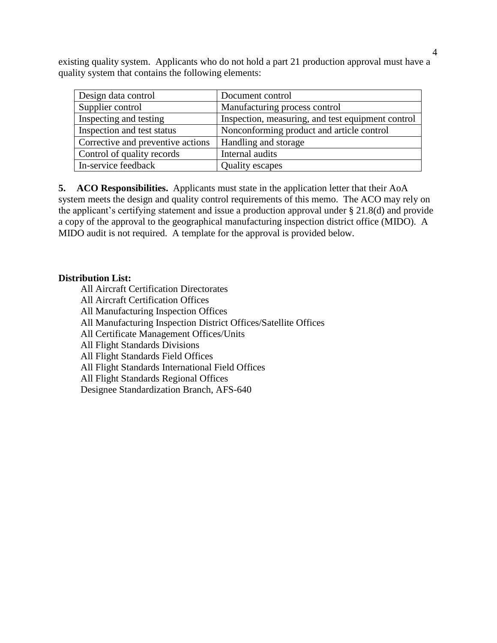existing quality system. Applicants who do not hold a part 21 production approval must have a quality system that contains the following elements:

| Design data control               | Document control                                  |
|-----------------------------------|---------------------------------------------------|
| Supplier control                  | Manufacturing process control                     |
| Inspecting and testing            | Inspection, measuring, and test equipment control |
| Inspection and test status        | Nonconforming product and article control         |
| Corrective and preventive actions | Handling and storage                              |
| Control of quality records        | Internal audits                                   |
| In-service feedback               | <b>Quality escapes</b>                            |

**5. ACO Responsibilities.** Applicants must state in the application letter that their AoA system meets the design and quality control requirements of this memo. The ACO may rely on the applicant's certifying statement and issue a production approval under § 21.8(d) and provide a copy of the approval to the geographical manufacturing inspection district office (MIDO). A MIDO audit is not required. A template for the approval is provided below.

#### **Distribution List:**

All Aircraft Certification Directorates All Aircraft Certification Offices All Manufacturing Inspection Offices All Manufacturing Inspection District Offices/Satellite Offices All Certificate Management Offices/Units All Flight Standards Divisions All Flight Standards Field Offices All Flight Standards International Field Offices All Flight Standards Regional Offices Designee Standardization Branch, AFS-640